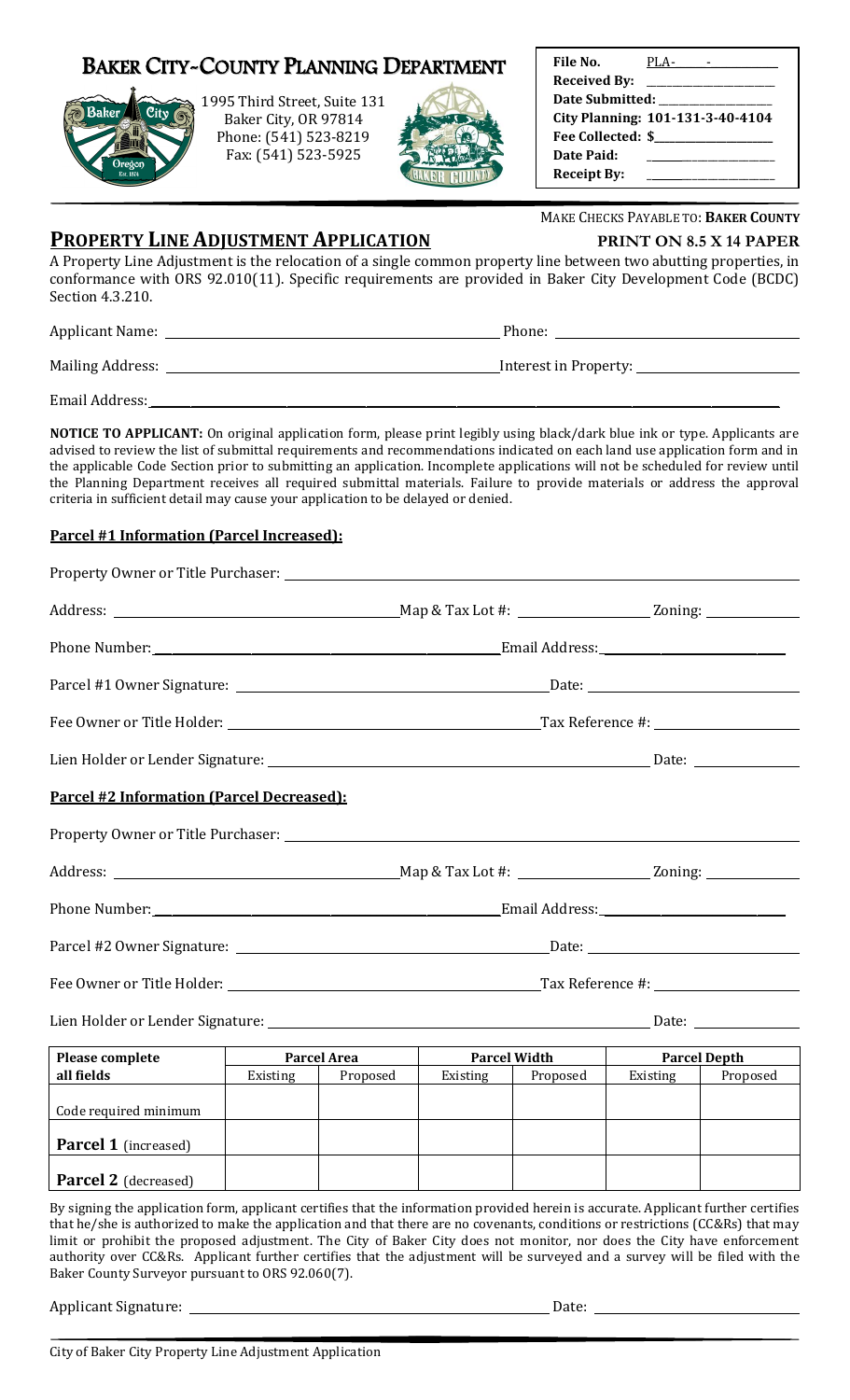|  | Baker City~County Planning Department |
|--|---------------------------------------|
|--|---------------------------------------|



1995 Third Street, Suite 131 Baker City, OR 97814 Phone: (541) 523-8219 Fax: (541) 523-5925



| File No.               | PLA-                             |
|------------------------|----------------------------------|
| <b>Received By:</b>    |                                  |
| <b>Date Submitted:</b> |                                  |
|                        | City Planning: 101-131-3-40-4104 |
|                        | Fee Collected: \$                |
| Date Paid:             |                                  |
| <b>Receipt By:</b>     |                                  |

MAKE CHECKS PAYABLE TO: **BAKER COUNTY**

**PROPERTY LINE ADJUSTMENT APPLICATION PRINT ON 8.5 X 14 PAPER**

A Property Line Adjustment is the relocation of a single common property line between two abutting properties, in conformance with ORS 92.010(11). Specific requirements are provided in Baker City Development Code (BCDC) Section 4.3.210.

Applicant Name: Phone: Mailing Address: Interest in Property:

Email Address:

**NOTICE TO APPLICANT:** On original application form, please print legibly using black/dark blue ink or type. Applicants are advised to review the list of submittal requirements and recommendations indicated on each land use application form and in the applicable Code Section prior to submitting an application. Incomplete applications will not be scheduled for review until the Planning Department receives all required submittal materials. Failure to provide materials or address the approval criteria in sufficient detail may cause your application to be delayed or denied.

## **Parcel #1 Information (Parcel Increased):**

| Parcel #2 Information (Parcel Decreased):                                                                                                                                                                                                                                                                                                                                                      |                 |                                                                                                                                                              |                                            |          |          |          |  |
|------------------------------------------------------------------------------------------------------------------------------------------------------------------------------------------------------------------------------------------------------------------------------------------------------------------------------------------------------------------------------------------------|-----------------|--------------------------------------------------------------------------------------------------------------------------------------------------------------|--------------------------------------------|----------|----------|----------|--|
|                                                                                                                                                                                                                                                                                                                                                                                                |                 |                                                                                                                                                              |                                            |          |          |          |  |
|                                                                                                                                                                                                                                                                                                                                                                                                |                 |                                                                                                                                                              |                                            |          |          |          |  |
|                                                                                                                                                                                                                                                                                                                                                                                                |                 |                                                                                                                                                              |                                            |          |          |          |  |
|                                                                                                                                                                                                                                                                                                                                                                                                |                 |                                                                                                                                                              |                                            |          |          |          |  |
|                                                                                                                                                                                                                                                                                                                                                                                                |                 |                                                                                                                                                              |                                            |          |          |          |  |
|                                                                                                                                                                                                                                                                                                                                                                                                |                 |                                                                                                                                                              |                                            |          |          |          |  |
| Please complete                                                                                                                                                                                                                                                                                                                                                                                |                 | <b>Parcel Area</b>                                                                                                                                           | <b>Parcel Width</b><br><b>Parcel Depth</b> |          |          |          |  |
|                                                                                                                                                                                                                                                                                                                                                                                                | <b>Existing</b> | Proposed                                                                                                                                                     | Existing                                   | Proposed | Existing | Proposed |  |
| Code required minimum                                                                                                                                                                                                                                                                                                                                                                          |                 |                                                                                                                                                              |                                            |          |          |          |  |
| <b>Parcel 1</b> (increased)                                                                                                                                                                                                                                                                                                                                                                    |                 |                                                                                                                                                              |                                            |          |          |          |  |
| <b>Parcel 2</b> (decreased)                                                                                                                                                                                                                                                                                                                                                                    |                 |                                                                                                                                                              |                                            |          |          |          |  |
| By signing the application form, applicant certifies that the information provided herein is accurate. Applicant further certifies<br>that he/she is authorized to make the application and that there are no covenants, conditions or restrictions (CC&Rs) that may<br>limit or prohibit the proposed adjustment. The City of Baker City does not monitor, nor does the City have enforcement |                 | $\overline{0.000}$ and $\overline{0.000}$ and $\overline{0.000}$ and $\overline{0.000}$ and $\overline{0.000}$ and $\overline{0.000}$ and $\overline{0.000}$ |                                            |          |          |          |  |

authority over CC&Rs. Applicant further certifies that the adjustment will be surveyed and a survey will be filed with the Baker County Surveyor pursuant to ORS 92.060(7).

Applicant Signature: Date: